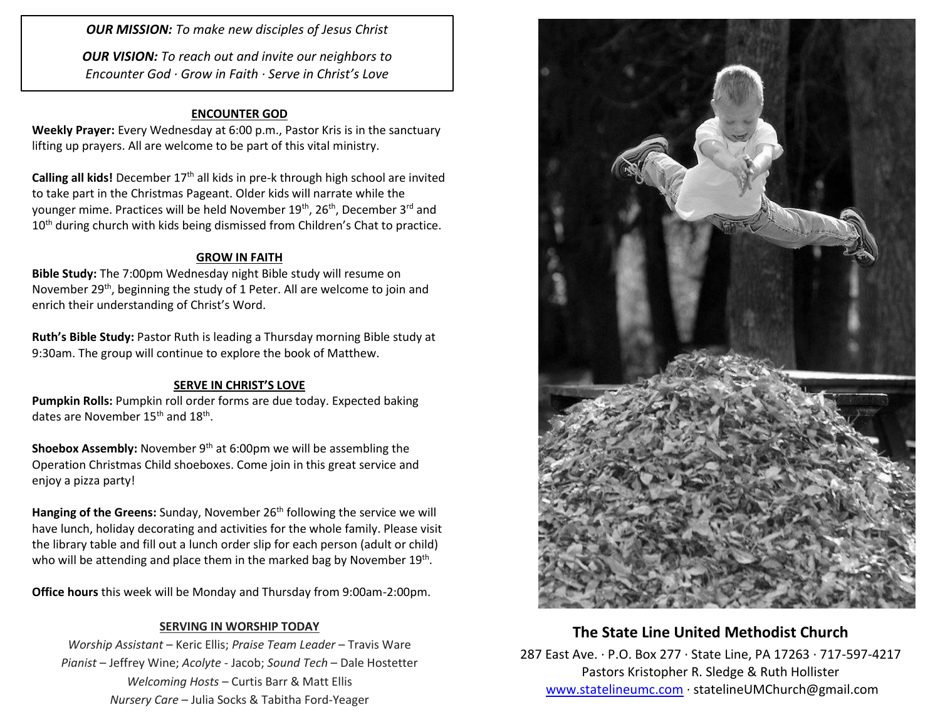*OUR MISSION: To make new disciples of Jesus Christ*

*OUR VISION: To reach out and invite our neighbors to Encounter God · Grow in Faith · Serve in Christ's Love*

#### **ENCOUNTER GOD**

**Weekly Prayer:** Every Wednesday at 6:00 p.m., Pastor Kris is in the sanctuary lifting up prayers. All are welcome to be part of this vital ministry.

Calling all kids! December 17<sup>th</sup> all kids in pre-k through high school are invited to take part in the Christmas Pageant. Older kids will narrate while the younger mime. Practices will be held November 19<sup>th</sup>, 26<sup>th</sup>, December 3<sup>rd</sup> and 10<sup>th</sup> during church with kids being dismissed from Children's Chat to practice.

### **GROW IN FAITH**

**Bible Study:** The 7:00pm Wednesday night Bible study will resume on November 29<sup>th</sup>, beginning the study of 1 Peter. All are welcome to join and enrich their understanding of Christ's Word.

**Ruth's Bible Study:** Pastor Ruth is leading a Thursday morning Bible study at 9:30am. The group will continue to explore the book of Matthew.

#### **SERVE IN CHRIST'S LOVE**

**Pumpkin Rolls:** Pumpkin roll order forms are due today. Expected baking dates are November 15<sup>th</sup> and 18<sup>th</sup>.

**Shoebox Assembly:** November 9<sup>th</sup> at 6:00pm we will be assembling the Operation Christmas Child shoeboxes. Come join in this great service and enjoy a pizza party!

Hanging of the Greens: Sunday, November 26<sup>th</sup> following the service we will have lunch, holiday decorating and activities for the whole family. Please visit the library table and fill out a lunch order slip for each person (adult or child) who will be attending and place them in the marked bag by November 19<sup>th</sup>.

**Office hours** this week will be Monday and Thursday from 9:00am-2:00pm.

### **SERVING IN WORSHIP TODAY**

*Worship Assistant* – Keric Ellis; *Praise Team Leader* – Travis Ware *Pianist* – Jeffrey Wine; *Acolyte* - Jacob; *Sound Tech* – Dale Hostetter *Welcoming Hosts* – Curtis Barr & Matt Ellis *Nursery Care* – Julia Socks & Tabitha Ford-Yeager



## **The State Line United Methodist Church**

287 East Ave. · P.O. Box 277 · State Line, PA 17263 · 717-597-4217 Pastors Kristopher R. Sledge & Ruth Hollister [www.statelineumc.com](http://www.statelineumc.com/) · statelineUMChurch@gmail.com